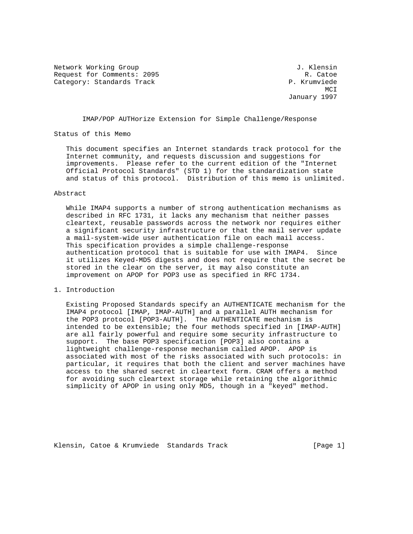Network Working Group 3. The Second Methods of Methods of American Control of American Control of American Control of American Control of American Control of American Control of American Control of American Control of Amer Request for Comments: 2095 R. Catoe Category: Standards Track P. Krumviede

MCI **MCI** January 1997

IMAP/POP AUTHorize Extension for Simple Challenge/Response

Status of this Memo

 This document specifies an Internet standards track protocol for the Internet community, and requests discussion and suggestions for improvements. Please refer to the current edition of the "Internet Official Protocol Standards" (STD 1) for the standardization state and status of this protocol. Distribution of this memo is unlimited.

## Abstract

 While IMAP4 supports a number of strong authentication mechanisms as described in RFC 1731, it lacks any mechanism that neither passes cleartext, reusable passwords across the network nor requires either a significant security infrastructure or that the mail server update a mail-system-wide user authentication file on each mail access. This specification provides a simple challenge-response authentication protocol that is suitable for use with IMAP4. Since it utilizes Keyed-MD5 digests and does not require that the secret be stored in the clear on the server, it may also constitute an improvement on APOP for POP3 use as specified in RFC 1734.

## 1. Introduction

 Existing Proposed Standards specify an AUTHENTICATE mechanism for the IMAP4 protocol [IMAP, IMAP-AUTH] and a parallel AUTH mechanism for the POP3 protocol [POP3-AUTH]. The AUTHENTICATE mechanism is intended to be extensible; the four methods specified in [IMAP-AUTH] are all fairly powerful and require some security infrastructure to support. The base POP3 specification [POP3] also contains a lightweight challenge-response mechanism called APOP. APOP is associated with most of the risks associated with such protocols: in particular, it requires that both the client and server machines have access to the shared secret in cleartext form. CRAM offers a method for avoiding such cleartext storage while retaining the algorithmic simplicity of APOP in using only MD5, though in a "keyed" method.

Klensin, Catoe & Krumviede Standards Track [Page 1]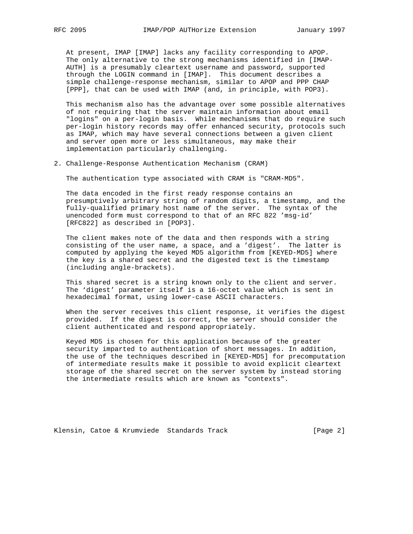At present, IMAP [IMAP] lacks any facility corresponding to APOP. The only alternative to the strong mechanisms identified in [IMAP- AUTH] is a presumably cleartext username and password, supported through the LOGIN command in [IMAP]. This document describes a simple challenge-response mechanism, similar to APOP and PPP CHAP [PPP], that can be used with IMAP (and, in principle, with POP3).

 This mechanism also has the advantage over some possible alternatives of not requiring that the server maintain information about email "logins" on a per-login basis. While mechanisms that do require such per-login history records may offer enhanced security, protocols such as IMAP, which may have several connections between a given client and server open more or less simultaneous, may make their implementation particularly challenging.

2. Challenge-Response Authentication Mechanism (CRAM)

The authentication type associated with CRAM is "CRAM-MD5".

 The data encoded in the first ready response contains an presumptively arbitrary string of random digits, a timestamp, and the fully-qualified primary host name of the server. The syntax of the unencoded form must correspond to that of an RFC 822 'msg-id' [RFC822] as described in [POP3].

 The client makes note of the data and then responds with a string consisting of the user name, a space, and a 'digest'. The latter is computed by applying the keyed MD5 algorithm from [KEYED-MD5] where the key is a shared secret and the digested text is the timestamp (including angle-brackets).

 This shared secret is a string known only to the client and server. The 'digest' parameter itself is a 16-octet value which is sent in hexadecimal format, using lower-case ASCII characters.

 When the server receives this client response, it verifies the digest provided. If the digest is correct, the server should consider the client authenticated and respond appropriately.

 Keyed MD5 is chosen for this application because of the greater security imparted to authentication of short messages. In addition, the use of the techniques described in [KEYED-MD5] for precomputation of intermediate results make it possible to avoid explicit cleartext storage of the shared secret on the server system by instead storing the intermediate results which are known as "contexts".

Klensin, Catoe & Krumviede Standards Track [Page 2]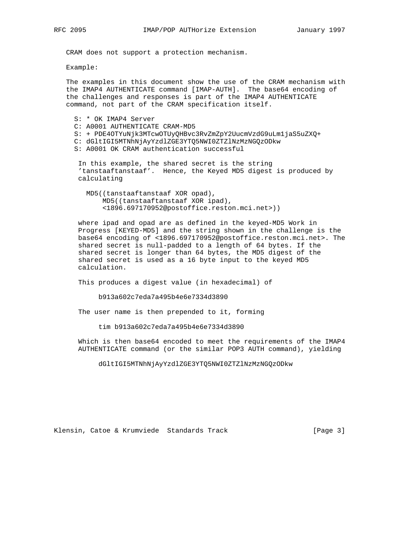CRAM does not support a protection mechanism.

Example:

 The examples in this document show the use of the CRAM mechanism with the IMAP4 AUTHENTICATE command [IMAP-AUTH]. The base64 encoding of the challenges and responses is part of the IMAP4 AUTHENTICATE command, not part of the CRAM specification itself.

 S: \* OK IMAP4 Server C: A0001 AUTHENTICATE CRAM-MD5 S: + PDE4OTYuNjk3MTcwOTUyQHBvc3RvZmZpY2UucmVzdG9uLm1jaS5uZXQ+ C: dGltIGI5MTNhNjAyYzdlZGE3YTQ5NWI0ZTZlNzMzNGQzODkw S: A0001 OK CRAM authentication successful

 In this example, the shared secret is the string 'tanstaaftanstaaf'. Hence, the Keyed MD5 digest is produced by calculating

 MD5((tanstaaftanstaaf XOR opad), MD5((tanstaaftanstaaf XOR ipad), <1896.697170952@postoffice.reston.mci.net>))

 where ipad and opad are as defined in the keyed-MD5 Work in Progress [KEYED-MD5] and the string shown in the challenge is the base64 encoding of <1896.697170952@postoffice.reston.mci.net>. The shared secret is null-padded to a length of 64 bytes. If the shared secret is longer than 64 bytes, the MD5 digest of the shared secret is used as a 16 byte input to the keyed MD5 calculation.

This produces a digest value (in hexadecimal) of

b913a602c7eda7a495b4e6e7334d3890

The user name is then prepended to it, forming

tim b913a602c7eda7a495b4e6e7334d3890

 Which is then base64 encoded to meet the requirements of the IMAP4 AUTHENTICATE command (or the similar POP3 AUTH command), yielding

dGltIGI5MTNhNjAyYzdlZGE3YTQ5NWI0ZTZlNzMzNGQzODkw

Klensin, Catoe & Krumviede Standards Track [Page 3]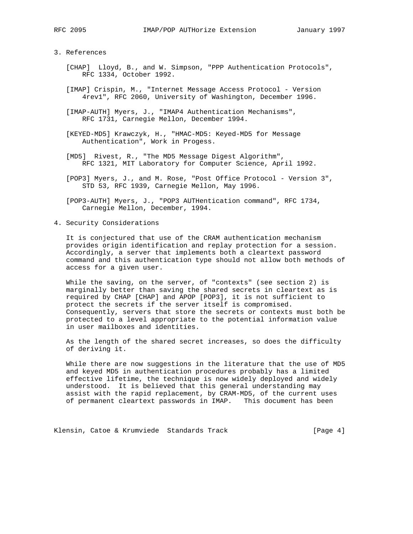## 3. References

- [CHAP] Lloyd, B., and W. Simpson, "PPP Authentication Protocols", RFC 1334, October 1992.
- [IMAP] Crispin, M., "Internet Message Access Protocol Version 4rev1", RFC 2060, University of Washington, December 1996.
- [IMAP-AUTH] Myers, J., "IMAP4 Authentication Mechanisms", RFC 1731, Carnegie Mellon, December 1994.
- [KEYED-MD5] Krawczyk, H., "HMAC-MD5: Keyed-MD5 for Message Authentication", Work in Progess.
- [MD5] Rivest, R., "The MD5 Message Digest Algorithm", RFC 1321, MIT Laboratory for Computer Science, April 1992.
- [POP3] Myers, J., and M. Rose, "Post Office Protocol Version 3", STD 53, RFC 1939, Carnegie Mellon, May 1996.
- [POP3-AUTH] Myers, J., "POP3 AUTHentication command", RFC 1734, Carnegie Mellon, December, 1994.
- 4. Security Considerations

 It is conjectured that use of the CRAM authentication mechanism provides origin identification and replay protection for a session. Accordingly, a server that implements both a cleartext password command and this authentication type should not allow both methods of access for a given user.

 While the saving, on the server, of "contexts" (see section 2) is marginally better than saving the shared secrets in cleartext as is required by CHAP [CHAP] and APOP [POP3], it is not sufficient to protect the secrets if the server itself is compromised. Consequently, servers that store the secrets or contexts must both be protected to a level appropriate to the potential information value in user mailboxes and identities.

 As the length of the shared secret increases, so does the difficulty of deriving it.

 While there are now suggestions in the literature that the use of MD5 and keyed MD5 in authentication procedures probably has a limited effective lifetime, the technique is now widely deployed and widely understood. It is believed that this general understanding may assist with the rapid replacement, by CRAM-MD5, of the current uses of permanent cleartext passwords in IMAP. This document has been

Klensin, Catoe & Krumviede Standards Track [Page 4]